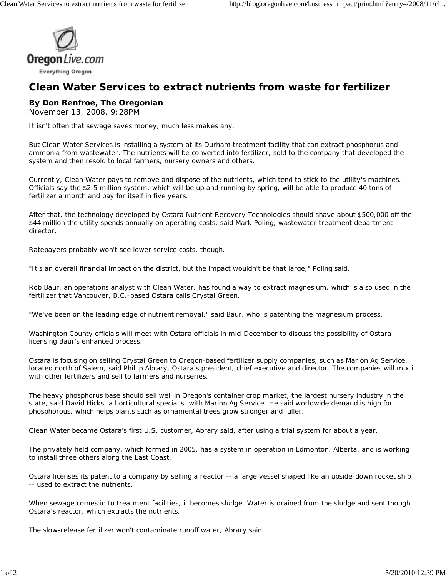

## **Clean Water Services to extract nutrients from waste for fertilizer**

## **By Don Renfroe, The Oregonian**

November 13, 2008, 9:28PM

It isn't often that sewage saves money, much less makes any.

But Clean Water Services is installing a system at its Durham treatment facility that can extract phosphorus and ammonia from wastewater. The nutrients will be converted into fertilizer, sold to the company that developed the system and then resold to local farmers, nursery owners and others.

Currently, Clean Water pays to remove and dispose of the nutrients, which tend to stick to the utility's machines. Officials say the \$2.5 million system, which will be up and running by spring, will be able to produce 40 tons of fertilizer a month and pay for itself in five years.

After that, the technology developed by Ostara Nutrient Recovery Technologies should shave about \$500,000 off the \$44 million the utility spends annually on operating costs, said Mark Poling, wastewater treatment department director.

Ratepayers probably won't see lower service costs, though.

"It's an overall financial impact on the district, but the impact wouldn't be that large," Poling said.

Rob Baur, an operations analyst with Clean Water, has found a way to extract magnesium, which is also used in the fertilizer that Vancouver, B.C.-based Ostara calls Crystal Green.

"We've been on the leading edge of nutrient removal," said Baur, who is patenting the magnesium process.

Washington County officials will meet with Ostara officials in mid-December to discuss the possibility of Ostara licensing Baur's enhanced process.

Ostara is focusing on selling Crystal Green to Oregon-based fertilizer supply companies, such as Marion Ag Service, located north of Salem, said Phillip Abrary, Ostara's president, chief executive and director. The companies will mix it with other fertilizers and sell to farmers and nurseries.

The heavy phosphorus base should sell well in Oregon's container crop market, the largest nursery industry in the state, said David Hicks, a horticultural specialist with Marion Ag Service. He said worldwide demand is high for phosphorous, which helps plants such as ornamental trees grow stronger and fuller.

Clean Water became Ostara's first U.S. customer, Abrary said, after using a trial system for about a year.

The privately held company, which formed in 2005, has a system in operation in Edmonton, Alberta, and is working to install three others along the East Coast.

Ostara licenses its patent to a company by selling a reactor -- a large vessel shaped like an upside-down rocket ship -- used to extract the nutrients.

When sewage comes in to treatment facilities, it becomes sludge. Water is drained from the sludge and sent though Ostara's reactor, which extracts the nutrients.

The slow-release fertilizer won't contaminate runoff water, Abrary said.